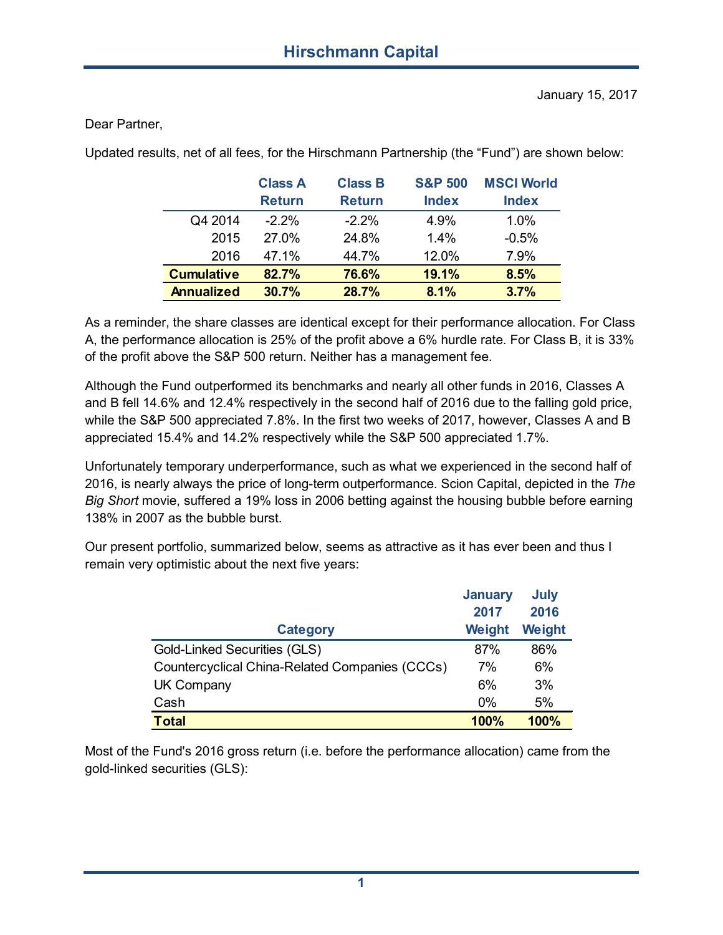Dear Partner,

Updated results, net of all fees, for the Hirschmann Partnership (the "Fund") are shown below:

|                   | <b>Class A</b> | <b>Class B</b> | <b>S&amp;P 500</b> | <b>MSCI World</b> |
|-------------------|----------------|----------------|--------------------|-------------------|
|                   | <b>Return</b>  | <b>Return</b>  | <b>Index</b>       | <b>Index</b>      |
| Q4 2014           | $-2.2\%$       | $-2.2\%$       | 4.9%               | 1.0%              |
| 2015              | 27.0%          | 24.8%          | 14%                | $-0.5%$           |
| 2016              | 47.1%          | 44.7%          | 12.0%              | 7.9%              |
| <b>Cumulative</b> | 82.7%          | 76.6%          | 19.1%              | 8.5%              |
| <b>Annualized</b> | 30.7%          | 28.7%          | 8.1%               | 3.7%              |

As a reminder, the share classes are identical except for their performance allocation. For Class A, the performance allocation is 25% of the profit above a 6% hurdle rate. For Class B, it is 33% of the profit above the S&P 500 return. Neither has a management fee.

Although the Fund outperformed its benchmarks and nearly all other funds in 2016, Classes A and B fell 14.6% and 12.4% respectively in the second half of 2016 due to the falling gold price, while the S&P 500 appreciated 7.8%. In the first two weeks of 2017, however, Classes A and B appreciated 15.4% and 14.2% respectively while the S&P 500 appreciated 1.7%.

Unfortunately temporary underperformance, such as what we experienced in the second half of 2016, is nearly always the price of long-term outperformance. Scion Capital, depicted in the *The Big Short* movie, suffered a 19% loss in 2006 betting against the housing bubble before earning 138% in 2007 as the bubble burst.

Our present portfolio, summarized below, seems as attractive as it has ever been and thus I remain very optimistic about the next five years:

|                                                | <b>January</b> | July   |
|------------------------------------------------|----------------|--------|
|                                                | 2017           | 2016   |
| <b>Category</b>                                | Weight         | Weight |
| Gold-Linked Securities (GLS)                   | 87%            | 86%    |
| Countercyclical China-Related Companies (CCCs) | 7%             | 6%     |
| <b>UK Company</b>                              | 6%             | 3%     |
| Cash                                           | $0\%$          | 5%     |
| <b>Total</b>                                   | 100%           | 100%   |

Most of the Fund's 2016 gross return (i.e. before the performance allocation) came from the gold-linked securities (GLS):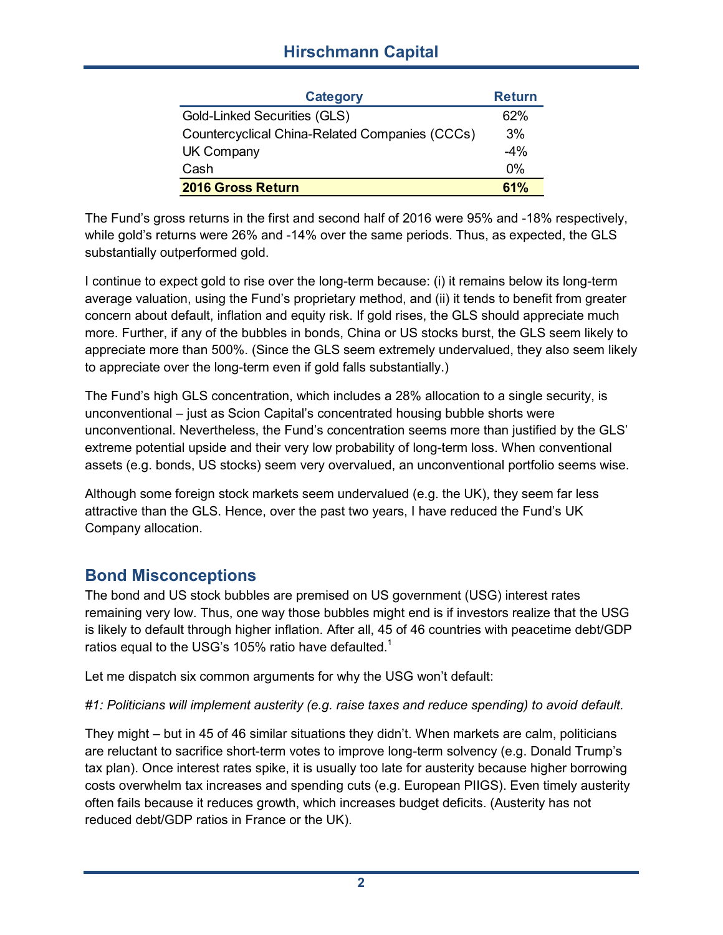# **Hirschmann Capital**

| <b>Category</b>                                | <b>Return</b> |
|------------------------------------------------|---------------|
| <b>Gold-Linked Securities (GLS)</b>            | 62%           |
| Countercyclical China-Related Companies (CCCs) | 3%            |
| <b>UK Company</b>                              | $-4%$         |
| Cash                                           | 0%            |
| 2016 Gross Return                              | 61%           |

The Fund's gross returns in the first and second half of 2016 were 95% and -18% respectively, while gold's returns were 26% and -14% over the same periods. Thus, as expected, the GLS substantially outperformed gold.

I continue to expect gold to rise over the long-term because: (i) it remains below its long-term average valuation, using the Fund's proprietary method, and (ii) it tends to benefit from greater concern about default, inflation and equity risk. If gold rises, the GLS should appreciate much more. Further, if any of the bubbles in bonds, China or US stocks burst, the GLS seem likely to appreciate more than 500%. (Since the GLS seem extremely undervalued, they also seem likely to appreciate over the long-term even if gold falls substantially.)

The Fund's high GLS concentration, which includes a 28% allocation to a single security, is unconventional – just as Scion Capital's concentrated housing bubble shorts were unconventional. Nevertheless, the Fund's concentration seems more than justified by the GLS' extreme potential upside and their very low probability of long-term loss. When conventional assets (e.g. bonds, US stocks) seem very overvalued, an unconventional portfolio seems wise.

Although some foreign stock markets seem undervalued (e.g. the UK), they seem far less attractive than the GLS. Hence, over the past two years, I have reduced the Fund's UK Company allocation.

# **Bond Misconceptions**

The bond and US stock bubbles are premised on US government (USG) interest rates remaining very low. Thus, one way those bubbles might end is if investors realize that the USG is likely to default through higher inflation. After all, 45 of 46 countries with peacetime debt/GDP ratios equal to the USG's 105% ratio have defaulted.<sup>1</sup>

Let me dispatch six common arguments for why the USG won't default:

*#1: Politicians will implement austerity (e.g. raise taxes and reduce spending) to avoid default.*

They might – but in 45 of 46 similar situations they didn't. When markets are calm, politicians are reluctant to sacrifice short-term votes to improve long-term solvency (e.g. Donald Trump's tax plan). Once interest rates spike, it is usually too late for austerity because higher borrowing costs overwhelm tax increases and spending cuts (e.g. European PIIGS). Even timely austerity often fails because it reduces growth, which increases budget deficits. (Austerity has not reduced debt/GDP ratios in France or the UK).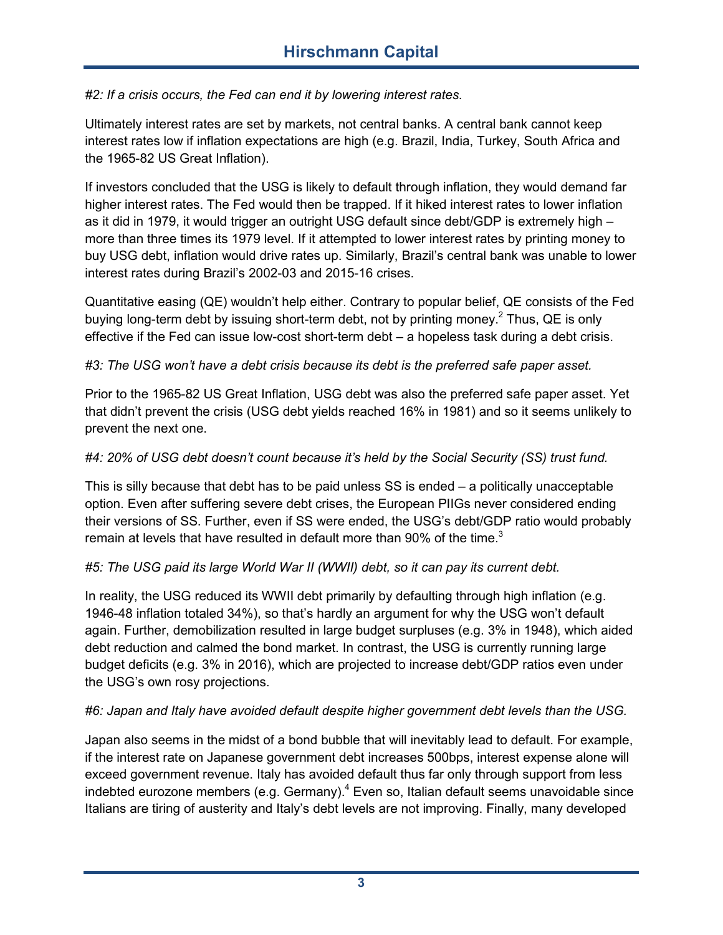*#2: If a crisis occurs, the Fed can end it by lowering interest rates.*

Ultimately interest rates are set by markets, not central banks. A central bank cannot keep interest rates low if inflation expectations are high (e.g. Brazil, India, Turkey, South Africa and the 1965-82 US Great Inflation).

If investors concluded that the USG is likely to default through inflation, they would demand far higher interest rates. The Fed would then be trapped. If it hiked interest rates to lower inflation as it did in 1979, it would trigger an outright USG default since debt/GDP is extremely high more than three times its 1979 level. If it attempted to lower interest rates by printing money to buy USG debt, inflation would drive rates up. Similarly, Brazil's central bank was unable to lower interest rates during Brazil's 2002-03 and 2015-16 crises.

Quantitative easing (QE) wouldn't help either. Contrary to popular belief, QE consists of the Fed buying long-term debt by issuing short-term debt, not by printing money.<sup>2</sup> Thus, QE is only effective if the Fed can issue low-cost short-term debt – a hopeless task during a debt crisis.

#### *#3: The USG won't have a debt crisis because its debt is the preferred safe paper asset.*

Prior to the 1965-82 US Great Inflation, USG debt was also the preferred safe paper asset. Yet that didn't prevent the crisis (USG debt yields reached 16% in 1981) and so it seems unlikely to prevent the next one.

#### *#4: 20% of USG debt doesn't count because it's held by the Social Security (SS) trust fund.*

This is silly because that debt has to be paid unless SS is ended – a politically unacceptable option. Even after suffering severe debt crises, the European PIIGs never considered ending their versions of SS. Further, even if SS were ended, the USG's debt/GDP ratio would probably remain at levels that have resulted in default more than 90% of the time. $3$ 

#### *#5: The USG paid its large World War II (WWII) debt, so it can pay its current debt.*

In reality, the USG reduced its WWII debt primarily by defaulting through high inflation (e.g. 1946-48 inflation totaled 34%), so that's hardly an argument for why the USG won't default again. Further, demobilization resulted in large budget surpluses (e.g. 3% in 1948), which aided debt reduction and calmed the bond market. In contrast, the USG is currently running large budget deficits (e.g. 3% in 2016), which are projected to increase debt/GDP ratios even under the USG's own rosy projections.

#### *#6: Japan and Italy have avoided default despite higher government debt levels than the USG.*

Japan also seems in the midst of a bond bubble that will inevitably lead to default. For example, if the interest rate on Japanese government debt increases 500bps, interest expense alone will exceed government revenue. Italy has avoided default thus far only through support from less indebted eurozone members (e.g. Germany).<sup>4</sup> Even so, Italian default seems unavoidable since Italians are tiring of austerity and Italy's debt levels are not improving. Finally, many developed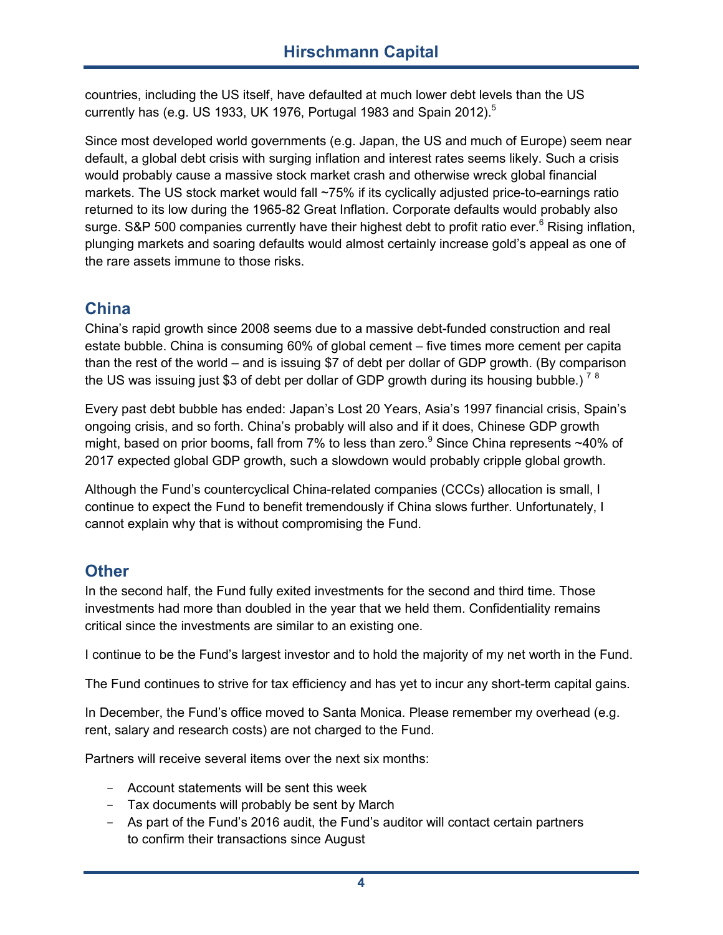countries, including the US itself, have defaulted at much lower debt levels than the US currently has (e.g. US 1933, UK 1976, Portugal 1983 and Spain 2012).<sup>5</sup>

Since most developed world governments (e.g. Japan, the US and much of Europe) seem near default, a global debt crisis with surging inflation and interest rates seems likely. Such a crisis would probably cause a massive stock market crash and otherwise wreck global financial markets. The US stock market would fall ~75% if its cyclically adjusted price-to-earnings ratio returned to its low during the 1965-82 Great Inflation. Corporate defaults would probably also surge. S&P 500 companies currently have their highest debt to profit ratio ever.<sup>6</sup> Rising inflation, plunging markets and soaring defaults would almost certainly increase gold's appeal as one of the rare assets immune to those risks.

## **China**

China's rapid growth since 2008 seems due to a massive debt-funded construction and real estate bubble. China is consuming 60% of global cement – five times more cement per capita than the rest of the world – and is issuing \$7 of debt per dollar of GDP growth. (By comparison the US was issuing just \$3 of debt per dollar of GDP growth during its housing bubble.)<sup>78</sup>

Every past debt bubble has ended: Japan's Lost 20 Years, Asia's 1997 financial crisis, Spain's ongoing crisis, and so forth. China's probably will also and if it does, Chinese GDP growth might, based on prior booms, fall from 7% to less than zero.<sup>9</sup> Since China represents  $\sim$ 40% of 2017 expected global GDP growth, such a slowdown would probably cripple global growth.

Although the Fund's countercyclical China-related companies (CCCs) allocation is small, I continue to expect the Fund to benefit tremendously if China slows further. Unfortunately, I cannot explain why that is without compromising the Fund.

## **Other**

In the second half, the Fund fully exited investments for the second and third time. Those investments had more than doubled in the year that we held them. Confidentiality remains critical since the investments are similar to an existing one.

I continue to be the Fund's largest investor and to hold the majority of my net worth in the Fund.

The Fund continues to strive for tax efficiency and has yet to incur any short-term capital gains.

In December, the Fund's office moved to Santa Monica. Please remember my overhead (e.g. rent, salary and research costs) are not charged to the Fund.

Partners will receive several items over the next six months:

- Account statements will be sent this week
- Tax documents will probably be sent by March
- As part of the Fund's 2016 audit, the Fund's auditor will contact certain partners to confirm their transactions since August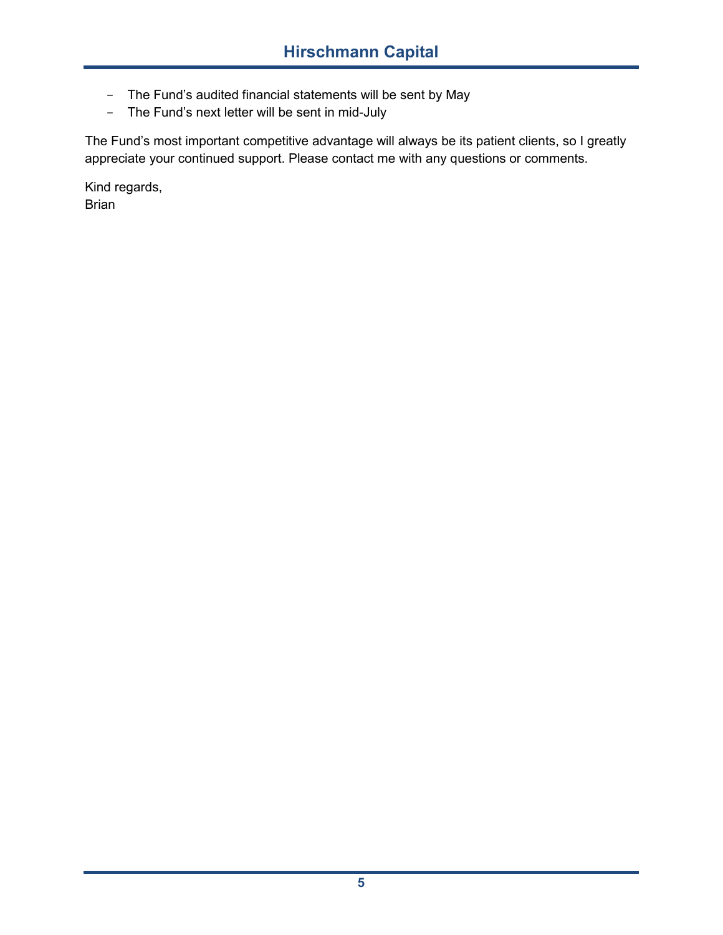- The Fund's audited financial statements will be sent by May
- The Fund's next letter will be sent in mid-July

The Fund's most important competitive advantage will always be its patient clients, so I greatly appreciate your continued support. Please contact me with any questions or comments.

Kind regards, Brian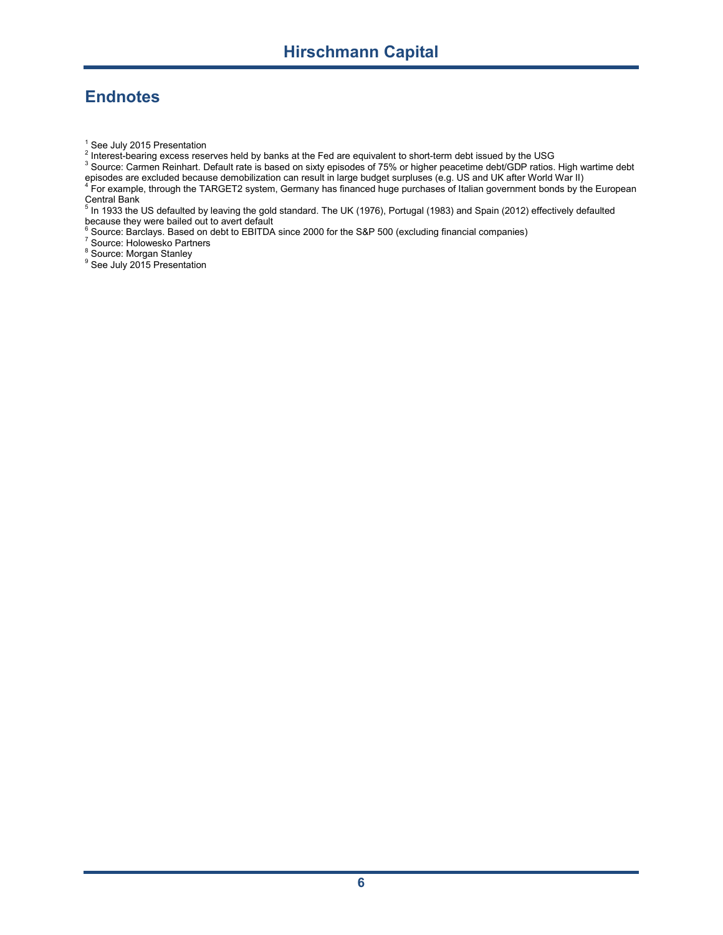# **Endnotes**

<sup>1</sup> See July 2015 Presentation<br><sup>2</sup> Interest-bearing excess reserves held by banks at the Fed are equivalent to short-term debt issued by the USG

3 Bource: Carmen Reinhart. Default rate is based on sixty episodes of 75% or higher peacetime debt/GDP ratios. High wartime debt

episodes are excluded because demobilization can result in large budget surpluses (e.g. US and UK after World War II)<br><sup>4</sup> For example, through the TARGET2 system, Germany has financed huge purchases of Italian government b

Central Bank 5 In 1933 the US defaulted by leaving the gold standard. The UK (1976), Portugal (1983) and Spain (2012) effectively defaulted

because they were bailed out to avert default<br><sup>6</sup> Source: Barclays. Based on debt to EBITDA since 2000 for the S&P 500 (excluding financial companies)<br><sup>7</sup> Source: Holowesko Partners

 $\frac{8}{5}$  Source: Morgan Stanley

<sup>9</sup> See July 2015 Presentation